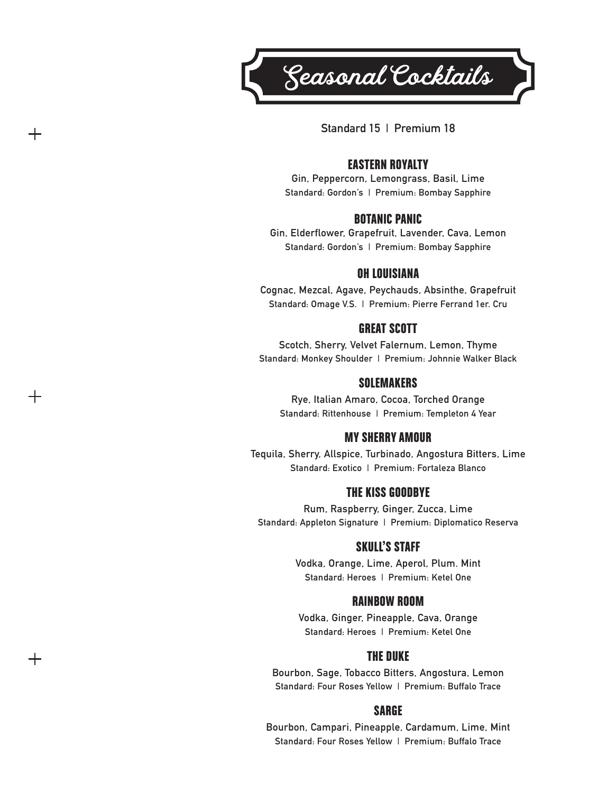

**Standard 15 | Premium 18**

#### EASTERN ROYALTY

**Gin, Peppercorn, Lemongrass, Basil, Lime Standard: Gordon's | Premium: Bombay Sapphire**

### BOTANIC PANIC

**Gin, Elderflower, Grapefruit, Lavender, Cava, Lemon Standard: Gordon's | Premium: Bombay Sapphire**

#### OH LOUISIANA

**Cognac, Mezcal, Agave, Peychauds, Absinthe, Grapefruit Standard: Omage V.S. | Premium: Pierre Ferrand 1er. Cru**

### GREAT SCOTT

**Scotch, Sherry, Velvet Falernum, Lemon, Thyme Standard: Monkey Shoulder | Premium: Johnnie Walker Black**

#### **SOLEMAKERS**

**Rye, Italian Amaro, Cocoa, Torched Orange Standard: Rittenhouse | Premium: Templeton 4 Year**

#### MY SHERRY AMOUR

**Tequila, Sherry, Allspice, Turbinado, Angostura Bitters, Lime Standard: Exotico | Premium: Fortaleza Blanco**

#### THE KISS GOODBYE

**Rum, Raspberry, Ginger, Zucca, Lime Standard: Appleton Signature | Premium: Diplomatico Reserva**

#### SKULL'S STAFF

**Vodka, Orange, Lime, Aperol, Plum. Mint Standard: Heroes | Premium: Ketel One**

#### RAINBOW ROOM

**Vodka, Ginger, Pineapple, Cava, Orange Standard: Heroes | Premium: Ketel One**

## THE DUKE

┿

**Bourbon, Sage, Tobacco Bitters, Angostura, Lemon Standard: Four Roses Yellow | Premium: Buffalo Trace**

#### SARGE

**Bourbon, Campari, Pineapple, Cardamum, Lime, Mint Standard: Four Roses Yellow | Premium: Buffalo Trace**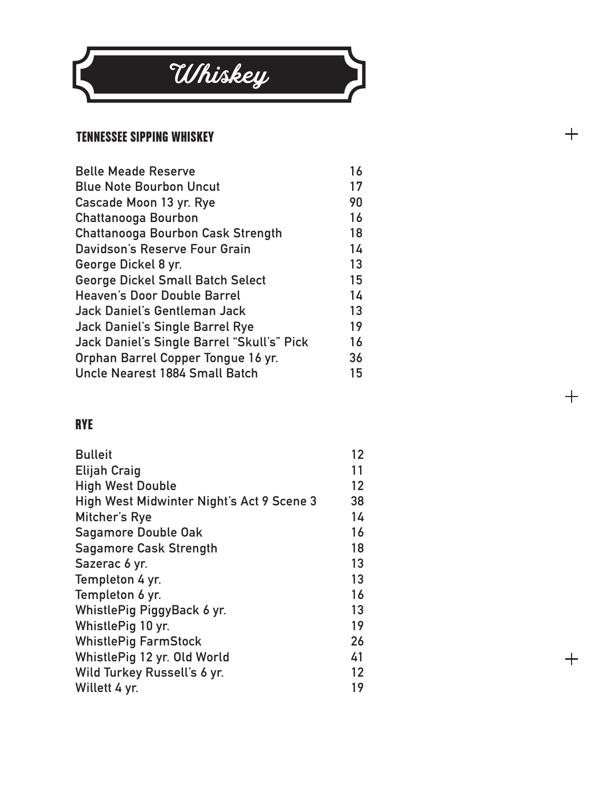

## TENNESSEE SIPPING WHISKEY

| <b>Blue Note Bourbon Uncut</b>             | 17<br>90 |
|--------------------------------------------|----------|
|                                            |          |
| Cascade Moon 13 yr. Rye                    |          |
| Chattanooga Bourbon                        | 16       |
| <b>Chattanooga Bourbon Cask Strength</b>   | 18       |
| Davidson's Reserve Four Grain              | 14       |
| George Dickel 8 yr.                        | 13       |
| George Dickel Small Batch Select           | 15       |
| Heaven's Door Double Barrel                | 14       |
| Jack Daniel's Gentleman Jack               | 13       |
| Jack Daniel's Single Barrel Rye            | 19       |
| Jack Daniel's Single Barrel "Skull's" Pick | 16       |
| Orphan Barrel Copper Tongue 16 yr.         | 36       |
| Uncle Nearest 1884 Small Batch             | 15       |

## RYE

| <b>Bulleit</b>                            | 12 |
|-------------------------------------------|----|
| <b>Elijah Craig</b>                       | 11 |
| <b>High West Double</b>                   | 12 |
| High West Midwinter Night's Act 9 Scene 3 | 38 |
| Mitcher's Rye                             | 14 |
| Sagamore Double Oak                       | 16 |
| Sagamore Cask Strength                    | 18 |
| Sazerac 6 yr.                             | 13 |
| Templeton 4 yr.                           | 13 |
| Templeton 6 yr.                           | 16 |
| WhistlePig PiggyBack 6 yr.                | 13 |
| WhistlePig 10 yr.                         | 19 |
| <b>WhistlePig FarmStock</b>               | 26 |
| WhistlePig 12 yr. Old World               | 41 |
| Wild Turkey Russell's 6 yr.               | 12 |
| Willett 4 yr.                             | 19 |
|                                           |    |

 $+$ 

 $+$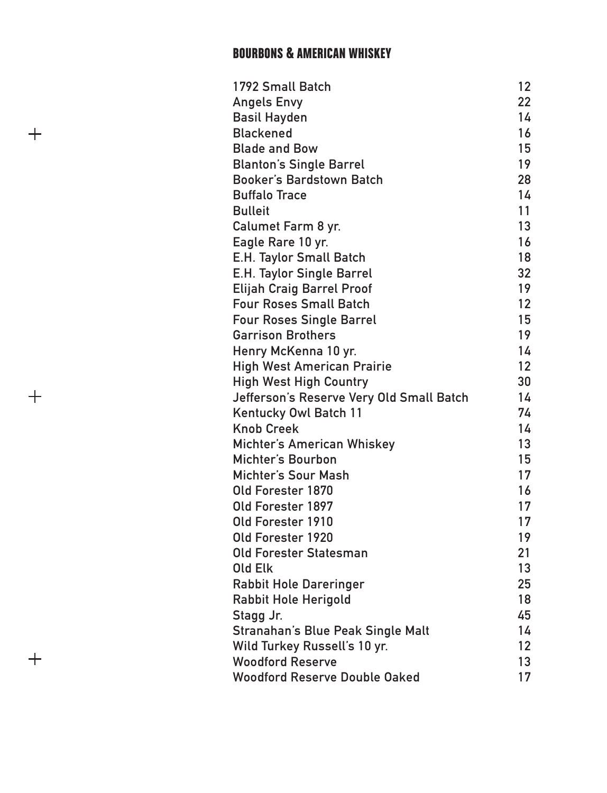## BOURBONS & AMERICAN WHISKEY

 $+$ 

 $+$ 

| 1792 Small Batch                         | 12 |
|------------------------------------------|----|
| <b>Angels Envy</b>                       | 22 |
| <b>Basil Hayden</b>                      | 14 |
| <b>Blackened</b>                         | 16 |
| <b>Blade and Bow</b>                     | 15 |
| <b>Blanton's Single Barrel</b>           | 19 |
| <b>Booker's Bardstown Batch</b>          | 28 |
| <b>Buffalo Trace</b>                     | 14 |
| <b>Bulleit</b>                           | 11 |
| Calumet Farm 8 yr.                       | 13 |
| Eagle Rare 10 yr.                        | 16 |
| E.H. Taylor Small Batch                  | 18 |
| E.H. Taylor Single Barrel                | 32 |
| <b>Elijah Craig Barrel Proof</b>         | 19 |
| <b>Four Roses Small Batch</b>            | 12 |
| <b>Four Roses Single Barrel</b>          | 15 |
| <b>Garrison Brothers</b>                 | 19 |
| Henry McKenna 10 yr.                     | 14 |
| <b>High West American Prairie</b>        | 12 |
| <b>High West High Country</b>            | 30 |
| Jefferson's Reserve Very Old Small Batch | 14 |
| Kentucky Owl Batch 11                    | 74 |
| <b>Knob Creek</b>                        | 14 |
| Michter's American Whiskey               | 13 |
| Michter's Bourbon                        | 15 |
| Michter's Sour Mash                      | 17 |
| Old Forester 1870                        | 16 |
| Old Forester 1897                        | 17 |
| Old Forester 1910                        | 17 |
| Old Forester 1920                        | 19 |
| <b>Old Forester Statesman</b>            | 21 |
| Old Elk                                  | 13 |
| <b>Rabbit Hole Dareringer</b>            | 25 |
| <b>Rabbit Hole Herigold</b>              | 18 |
| Stagg Jr.                                | 45 |
| Stranahan's Blue Peak Single Malt        | 14 |
| Wild Turkey Russell's 10 yr.             | 12 |
| <b>Woodford Reserve</b>                  | 13 |
| <b>Woodford Reserve Double Oaked</b>     | 17 |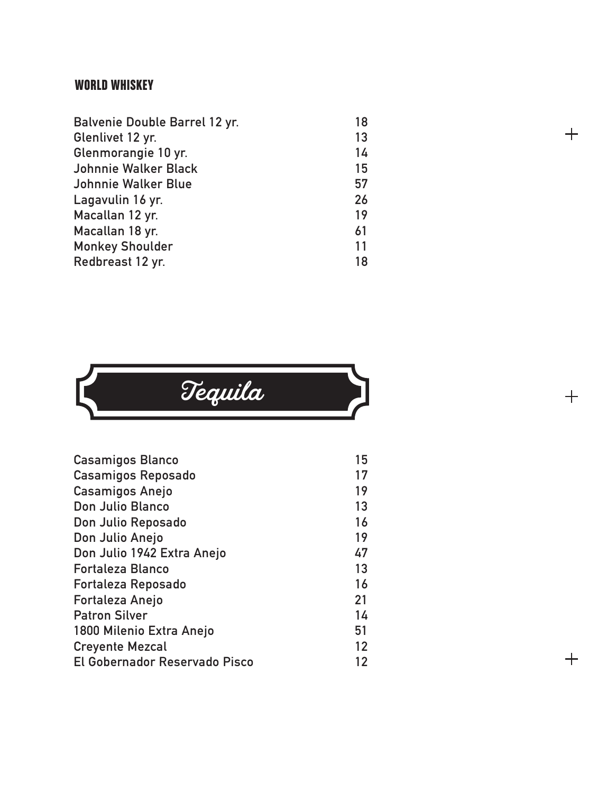## WORLD WHISKEY

| 18 |
|----|
| 13 |
| 14 |
| 15 |
| 57 |
| 26 |
| 19 |
| 61 |
| 11 |
| 18 |
|    |



| Casamigos Blanco              | 15 |
|-------------------------------|----|
| Casamigos Reposado            | 17 |
| Casamigos Anejo               | 19 |
| Don Julio Blanco              | 13 |
| Don Julio Reposado            | 16 |
| Don Julio Anejo               | 19 |
| Don Julio 1942 Extra Anejo    | 47 |
| Fortaleza Blanco              | 13 |
| Fortaleza Reposado            | 16 |
| Fortaleza Anejo               | 21 |
| <b>Patron Silver</b>          | 14 |
| 1800 Milenio Extra Anejo      | 51 |
| <b>Creyente Mezcal</b>        | 12 |
| El Gobernador Reservado Pisco | 12 |

 $+$ 

 $+$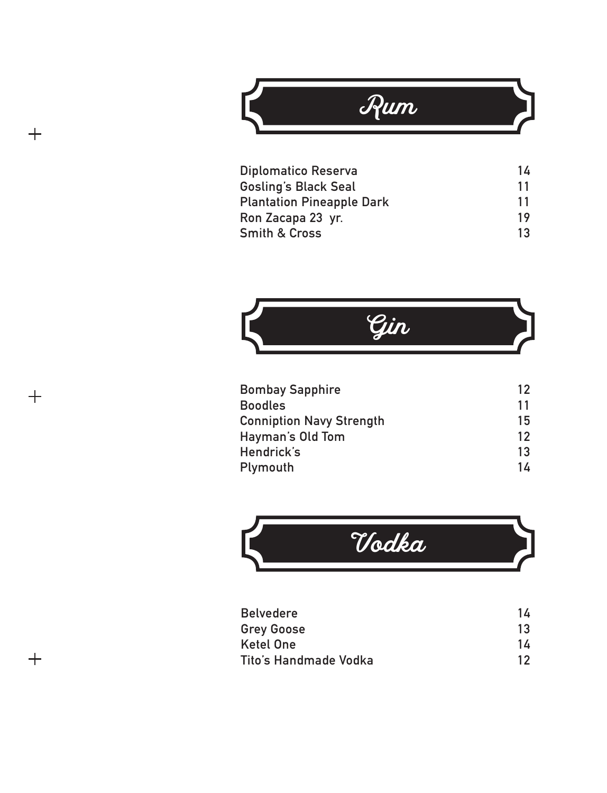# Rum

 $\qquad \qquad +$ 

 $\boldsymbol{+}$ 

| 14 |  |
|----|--|
| 11 |  |
| 11 |  |
| 19 |  |
| 13 |  |
|    |  |



| 12 |
|----|
| 11 |
| 15 |
| 12 |
| 13 |
| 14 |
|    |



| Belvedere             | 14 |
|-----------------------|----|
| Grey Goose            | 13 |
| Ketel One             | 14 |
| Tito's Handmade Vodka | 12 |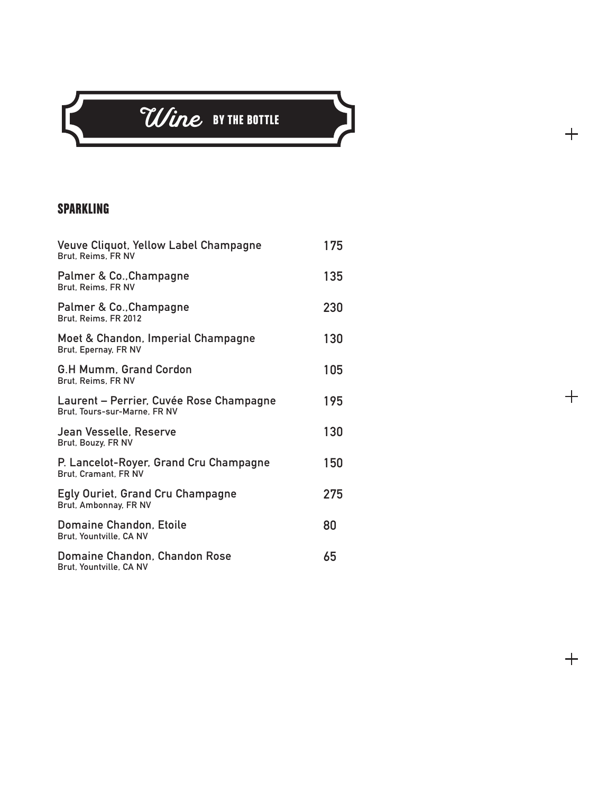# Wine BY THE BOTTLE

 $+$ 

 $+$ 

 $+$ 

## SPARKLING

| 175 |
|-----|
| 135 |
| 230 |
| 130 |
| 105 |
| 195 |
| 130 |
| 150 |
| 275 |
| 80  |
| 65  |
|     |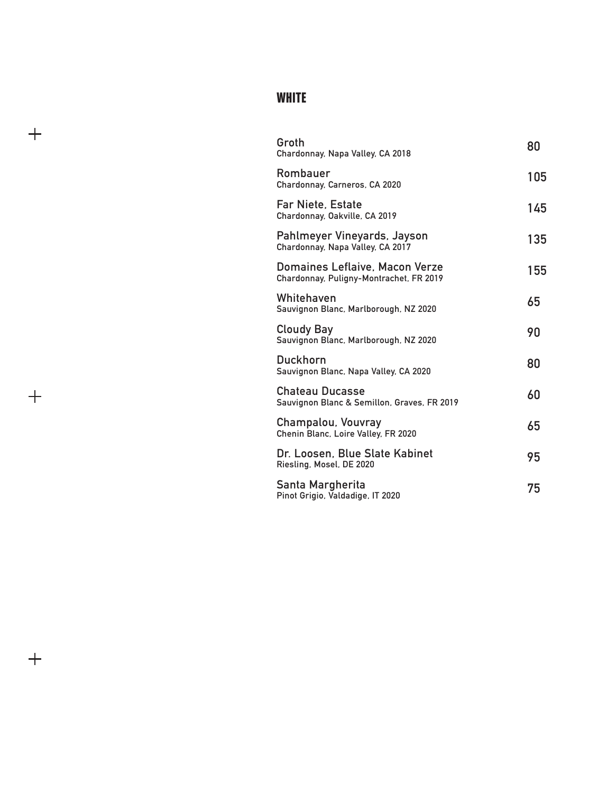## **WHITE**

 $+$ 

 $+$ 

| Groth<br>Chardonnay, Napa Valley, CA 2018                                 | 80  |
|---------------------------------------------------------------------------|-----|
| Rombauer<br>Chardonnay, Carneros, CA 2020                                 | 105 |
| <b>Far Niete, Estate</b><br>Chardonnay, Oakville, CA 2019                 | 145 |
| Pahlmeyer Vineyards, Jayson<br>Chardonnay, Napa Valley, CA 2017           | 135 |
| Domaines Leflaive. Macon Verze<br>Chardonnay, Puligny-Montrachet, FR 2019 | 155 |
| Whitehaven<br>Sauvignon Blanc, Marlborough, NZ 2020                       | 65  |
| Cloudy Bay<br>Sauvignon Blanc, Marlborough, NZ 2020                       | 90  |
| Duckhorn<br>Sauvignon Blanc, Napa Valley, CA 2020                         | 80  |
| <b>Chateau Ducasse</b><br>Sauvignon Blanc & Semillon, Graves, FR 2019     | 60  |
| Champalou, Vouvray<br>Chenin Blanc, Loire Valley, FR 2020                 | 65  |
| Dr. Loosen. Blue Slate Kabinet<br>Riesling, Mosel, DE 2020                | 95  |
| Santa Margherita<br>Pinot Grigio, Valdadige, IT 2020                      | 75  |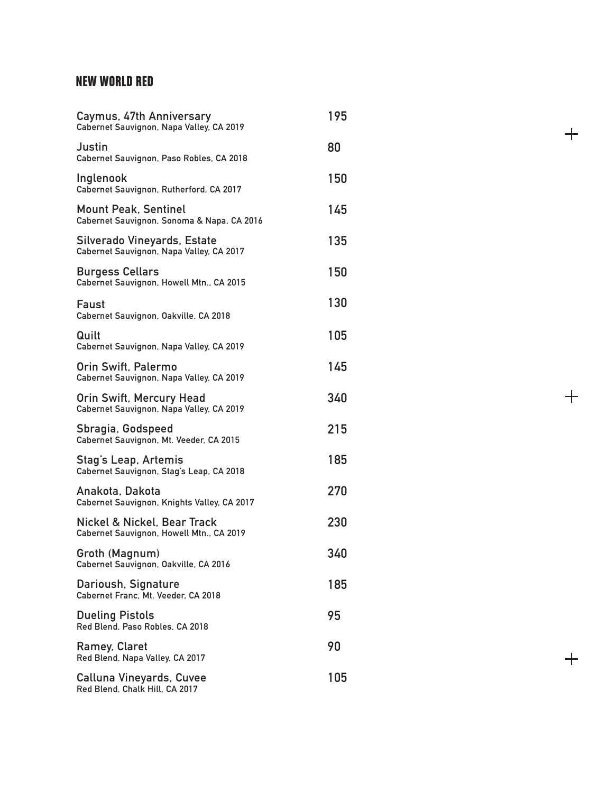## NEW WORLD RED

| Caymus, 47th Anniversary<br>Cabernet Sauvignon, Napa Valley, CA 2019      | 195 |
|---------------------------------------------------------------------------|-----|
| Justin<br>Cabernet Sauvignon, Paso Robles, CA 2018                        | 80  |
| Inglenook<br>Cabernet Sauvignon, Rutherford, CA 2017                      | 150 |
| <b>Mount Peak, Sentinel</b><br>Cabernet Sauvignon, Sonoma & Napa, CA 2016 | 145 |
| Silverado Vineyards, Estate<br>Cabernet Sauvignon, Napa Valley, CA 2017   | 135 |
| <b>Burgess Cellars</b><br>Cabernet Sauvignon, Howell Mtn., CA 2015        | 150 |
| Faust<br>Cabernet Sauvignon, Oakville, CA 2018                            | 130 |
| Quilt<br>Cabernet Sauvignon, Napa Valley, CA 2019                         | 105 |
| Orin Swift, Palermo<br>Cabernet Sauvignon, Napa Valley, CA 2019           | 145 |
| Orin Swift, Mercury Head<br>Cabernet Sauvignon, Napa Valley, CA 2019      | 340 |
| Sbragia, Godspeed<br>Cabernet Sauvignon, Mt. Veeder, CA 2015              | 215 |
| Stag's Leap, Artemis<br>Cabernet Sauvignon, Stag's Leap, CA 2018          | 185 |
| Anakota, Dakota<br>Cabernet Sauvignon, Knights Valley, CA 2017            | 270 |
| Nickel & Nickel, Bear Track<br>Cabernet Sauvignon, Howell Mtn., CA 2019   | 230 |
| Groth (Magnum)<br>Cabernet Sauvignon, Oakville, CA 2016                   | 340 |
| Darioush, Signature<br>Cabernet Franc, Mt. Veeder, CA 2018                | 185 |
| <b>Dueling Pistols</b><br>Red Blend, Paso Robles, CA 2018                 | 95  |
| Ramey, Claret<br>Red Blend, Napa Valley, CA 2017                          | 90  |
| Calluna Vineyards, Cuvee<br>Red Blend, Chalk Hill, CA 2017                | 105 |

 $+$ 

 $+$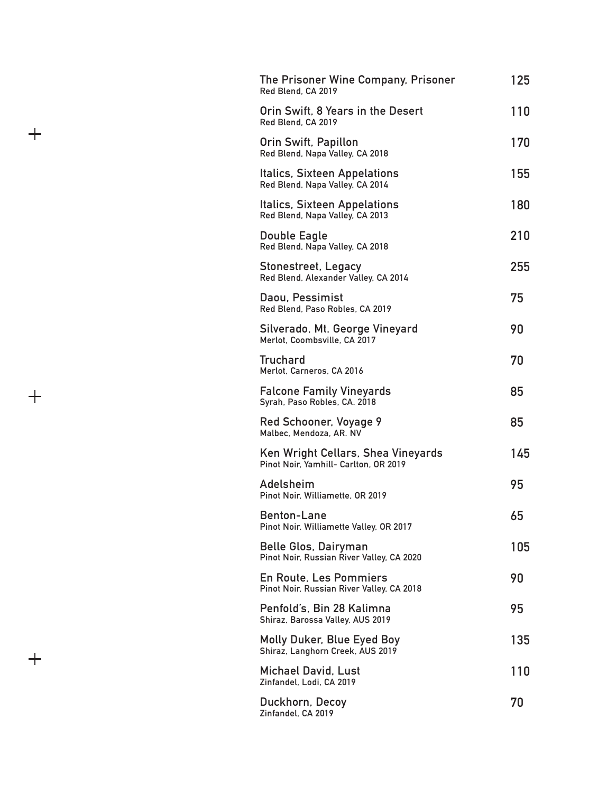| The Prisoner Wine Company, Prisoner<br>Red Blend, CA 2019                   | 125 |
|-----------------------------------------------------------------------------|-----|
| Orin Swift, 8 Years in the Desert<br>Red Blend, CA 2019                     | 110 |
| Orin Swift, Papillon<br>Red Blend, Napa Valley, CA 2018                     | 170 |
| Italics, Sixteen Appelations<br>Red Blend, Napa Valley, CA 2014             | 155 |
| Italics, Sixteen Appelations<br>Red Blend, Napa Valley, CA 2013             | 180 |
| Double Eagle<br>Red Blend, Napa Valley, CA 2018                             | 210 |
| Stonestreet, Legacy<br>Red Blend, Alexander Valley, CA 2014                 | 255 |
| Daou, Pessimist<br>Red Blend, Paso Robles, CA 2019                          | 75  |
| Silverado, Mt. George Vineyard<br>Merlot, Coombsville, CA 2017              | 90  |
| Truchard<br>Merlot, Carneros, CA 2016                                       | 70  |
| Falcone Family Vineyards<br>Syrah, Paso Robles, CA. 2018                    | 85  |
| Red Schooner, Voyage 9<br>Malbec, Mendoza, AR. NV                           | 85  |
| Ken Wright Cellars, Shea Vineyards<br>Pinot Noir, Yamhill- Carlton, OR 2019 | 145 |
| Adelsheim<br>Pinot Noir, Williamette, OR 2019                               | 95  |
| <b>Benton-Lane</b><br>Pinot Noir, Williamette Valley, OR 2017               | 65  |
| Belle Glos, Dairyman<br>Pinot Noir, Russian River Valley, CA 2020           | 105 |
| <b>En Route, Les Pommiers</b><br>Pinot Noir, Russian River Valley, CA 2018  | 90  |
| Penfold's, Bin 28 Kalimna<br>Shiraz, Barossa Valley, AUS 2019               | 95  |
| Molly Duker, Blue Eyed Boy<br>Shiraz, Langhorn Creek, AUS 2019              | 135 |
| Michael David, Lust<br>Zinfandel, Lodi, CA 2019                             | 110 |
| Duckhorn, Decoy<br>Zinfandel, CA 2019                                       | 70  |

╅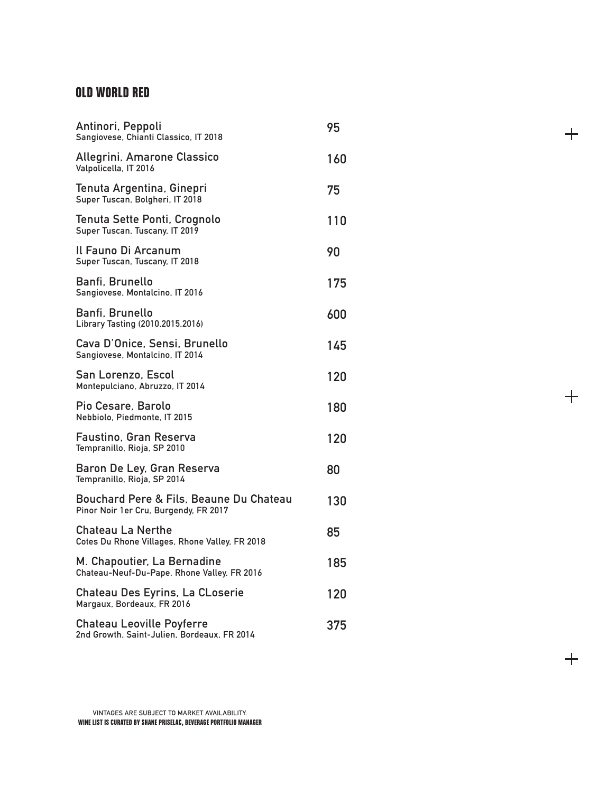## OLD WORLD RED

| Antinori, Peppoli<br>Sangiovese, Chianti Classico, IT 2018                       | 95  |
|----------------------------------------------------------------------------------|-----|
| Allegrini, Amarone Classico<br>Valpolicella, IT 2016                             | 160 |
| Tenuta Argentina, Ginepri<br>Super Tuscan, Bolgheri, IT 2018                     | 75  |
| Tenuta Sette Ponti, Crognolo<br>Super Tuscan, Tuscany, IT 2019                   | 110 |
| Il Fauno Di Arcanum<br>Super Tuscan, Tuscany, IT 2018                            | 90  |
| Banfi, Brunello<br>Sangiovese, Montalcino, IT 2016                               | 175 |
| Banfi, Brunello<br>Library Tasting (2010,2015,2016)                              | 600 |
| Cava D'Onice, Sensi, Brunello<br>Sangiovese, Montalcino, IT 2014                 | 145 |
| San Lorenzo, Escol<br>Montepulciano, Abruzzo, IT 2014                            | 120 |
| Pio Cesare, Barolo<br>Nebbiolo, Piedmonte, IT 2015                               | 180 |
| Faustino, Gran Reserva<br>Tempranillo, Rioja, SP 2010                            | 120 |
| Baron De Ley, Gran Reserva<br>Tempranillo, Rioja, SP 2014                        | 80  |
| Bouchard Pere & Fils, Beaune Du Chateau<br>Pinor Noir 1er Cru, Burgendy, FR 2017 | 130 |
| <b>Chateau La Nerthe</b><br>Cotes Du Rhone Villages, Rhone Valley, FR 2018       | 85  |
| M. Chapoutier, La Bernadine<br>Chateau-Neuf-Du-Pape, Rhone Valley, FR 2016       | 185 |
| Chateau Des Eyrins, La CLoserie<br>Margaux, Bordeaux, FR 2016                    | 120 |
| <b>Chateau Leoville Poyferre</b><br>2nd Growth, Saint-Julien, Bordeaux, FR 2014  | 375 |

 $+$ 

 $+$ 

 $+$ 

**VINTAGES ARE SUBJECT TO MARKET AVAILABILITY.** WINE LIST IS CURATED BY SHANE PRISELAC, BEVERAGE PORTFOLIO MANAGER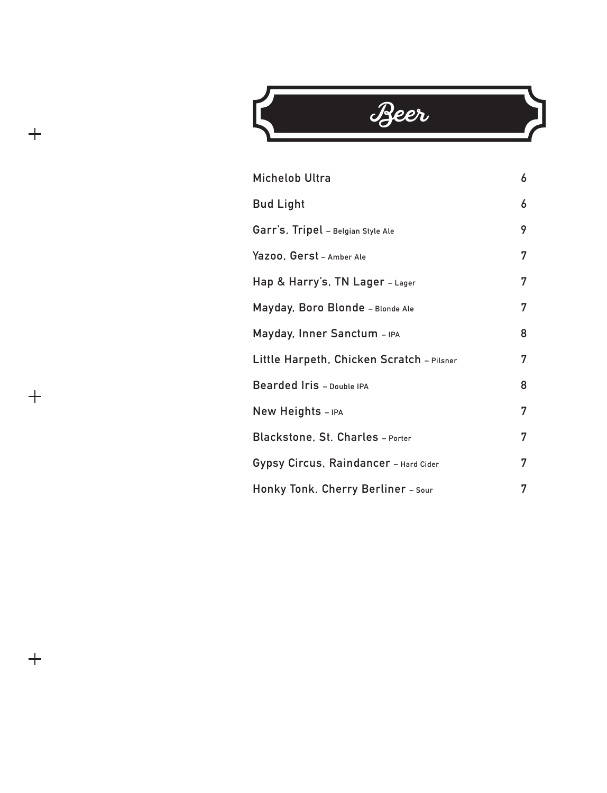## Beer

 $\sqrt{\phantom{a}}$ 

 $\qquad \qquad +$ 

 $\qquad \qquad +$ 

| Michelob Ultra                            | 6 |
|-------------------------------------------|---|
| <b>Bud Light</b>                          | 6 |
| Garr's, Tripel - Belgian Style Ale        | 9 |
| Yazoo, Gerst - Amber Ale                  | 7 |
| Hap & Harry's, TN Lager - Lager           | 7 |
| Mayday, Boro Blonde - Blonde Ale          | 7 |
| Mayday, Inner Sanctum - IPA               | 8 |
| Little Harpeth, Chicken Scratch - Pilsner | 7 |
| Bearded Iris - Double IPA                 | 8 |
| New Heights - IPA                         | 7 |
| Blackstone, St. Charles - Porter          | 7 |
| Gypsy Circus, Raindancer - Hard Cider     | 7 |
| Honky Tonk, Cherry Berliner - sour        | 7 |
|                                           |   |